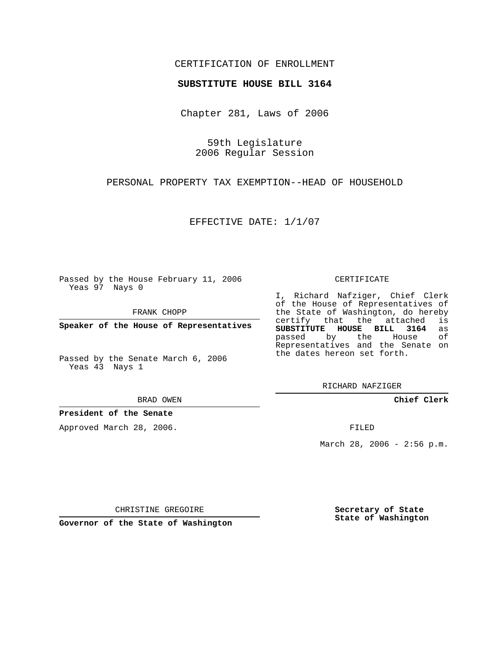## CERTIFICATION OF ENROLLMENT

## **SUBSTITUTE HOUSE BILL 3164**

Chapter 281, Laws of 2006

59th Legislature 2006 Regular Session

PERSONAL PROPERTY TAX EXEMPTION--HEAD OF HOUSEHOLD

EFFECTIVE DATE: 1/1/07

Passed by the House February 11, 2006 Yeas 97 Nays 0

FRANK CHOPP

**Speaker of the House of Representatives**

Passed by the Senate March 6, 2006 Yeas 43 Nays 1

BRAD OWEN

**President of the Senate**

Approved March 28, 2006.

CERTIFICATE

I, Richard Nafziger, Chief Clerk of the House of Representatives of the State of Washington, do hereby<br>certify that the attached is certify that the attached **SUBSTITUTE HOUSE BILL 3164** as passed by the Representatives and the Senate on the dates hereon set forth.

RICHARD NAFZIGER

**Chief Clerk**

FILED

March 28, 2006 - 2:56 p.m.

CHRISTINE GREGOIRE

**Governor of the State of Washington**

**Secretary of State State of Washington**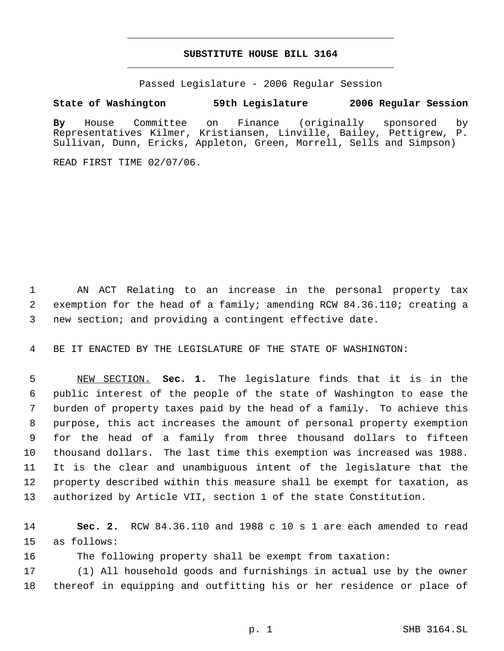## **SUBSTITUTE HOUSE BILL 3164** \_\_\_\_\_\_\_\_\_\_\_\_\_\_\_\_\_\_\_\_\_\_\_\_\_\_\_\_\_\_\_\_\_\_\_\_\_\_\_\_\_\_\_\_\_

\_\_\_\_\_\_\_\_\_\_\_\_\_\_\_\_\_\_\_\_\_\_\_\_\_\_\_\_\_\_\_\_\_\_\_\_\_\_\_\_\_\_\_\_\_

Passed Legislature - 2006 Regular Session

## **State of Washington 59th Legislature 2006 Regular Session**

**By** House Committee on Finance (originally sponsored by Representatives Kilmer, Kristiansen, Linville, Bailey, Pettigrew, P. Sullivan, Dunn, Ericks, Appleton, Green, Morrell, Sells and Simpson)

READ FIRST TIME 02/07/06.

 AN ACT Relating to an increase in the personal property tax exemption for the head of a family; amending RCW 84.36.110; creating a new section; and providing a contingent effective date.

BE IT ENACTED BY THE LEGISLATURE OF THE STATE OF WASHINGTON:

 NEW SECTION. **Sec. 1.** The legislature finds that it is in the public interest of the people of the state of Washington to ease the burden of property taxes paid by the head of a family. To achieve this purpose, this act increases the amount of personal property exemption for the head of a family from three thousand dollars to fifteen thousand dollars. The last time this exemption was increased was 1988. It is the clear and unambiguous intent of the legislature that the property described within this measure shall be exempt for taxation, as authorized by Article VII, section 1 of the state Constitution.

 **Sec. 2.** RCW 84.36.110 and 1988 c 10 s 1 are each amended to read as follows:

The following property shall be exempt from taxation:

 (1) All household goods and furnishings in actual use by the owner thereof in equipping and outfitting his or her residence or place of